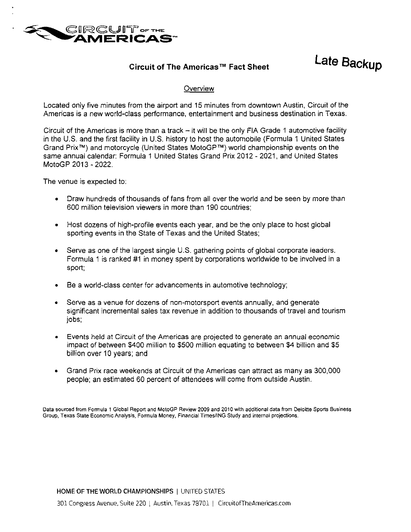

# Circuit of The Americas™ Fact Sheet

Late Backup

## **Overview**

Located only five minutes from the airport and 15 minutes from downtown Austin, Circuit of the Americas is a new world-class performance, entertainment and business destination in Texas.

Circuit of the Americas is more than a track  $-$  it will be the only FIA Grade 1 automotive facility in the U.S. and the first facility in U.S. history to host the automobile (Formula 1 United States Grand Prix™) and motorcycle (United States MotoGP™} world championship events on the same annual calendar: Formula 1 United States Grand Prix 2012 - 2021, and United States MotoGP 2013-2022.

The venue is expected to:

- Draw hundreds of thousands of fans from all over the world and be seen by more than 600 million television viewers in more than 190 countries;
- Host dozens of high-profile events each year, and be the only place to host global sporting events in the State of Texas and the United States;
- Serve as one of the largest single U.S. gathering points of global corporate leaders. Formula 1 is ranked #1 in money spent by corporations worldwide to be involved in a sport;
- Be a world-class center for advancements in automotive technology;
- Serve as a venue for dozens of non-motorsport events annually, and generate significant incremental sales tax revenue in addition to thousands of travel and tourism iobs:
- Events held at Circuit of the Americas are projected to generate an annual economic impact of between \$400 million to \$500 million equating to between \$4 billion and \$5 billion over 10 years; and
- Grand Prix race weekends at Circuit of the Americas can attract as many as 300,000 people; an estimated 60 percent of attendees will come from outside Austin.

Data sourced from Formula 1 Global Report and MotoGP Review 2009 and 2010 with additional data from Deloitte Sports Business Group, Texas State Economic Analysis, Formula Money, Financial Times/ING Study and internal projections.

HOME OF THE WORLD CHAMPIONSHIPS | UNITED STATES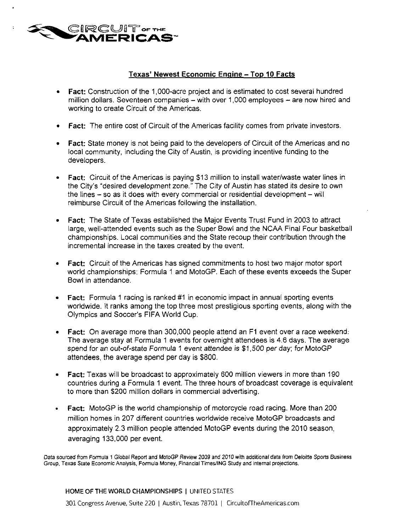

# Texas' Newest Economic Engine - Top 10 Facts

- Fact: Construction of the 1,000-acre project and is estimated to cost several hundred million dollars. Seventeen companies - with over 1,000 employees - are now hired and working to create Circuit of the Americas.
- Fact: The entire cost of Circuit of the Americas facility comes from private investors.
- Fact: State money is not being paid to the developers of Circuit of the Americas and no local community, including the City of Austin, is providing incentive funding to the developers.
- Fact: Circuit of the Americas is paying \$13 million to install water/waste water lines in the City's "desired development zone." The City of Austin has stated its desire to own the lines - so as it does with every commercial or residential development - will reimburse Circuit of the Americas following the installation.
- Fact: The State of Texas established the Major Events Trust Fund in 2003 to attract large, well-attended events such as the Super Bowl and the NCAA Final Four basketball championships. Local communities and the State recoup their contribution through the incremental increase in the taxes created by the event.
- Fact: Circuit of the Americas has signed commitments to host two major motor sport world championships: Formula 1 and MotoGP. Each of these events exceeds the Super Bowl in attendance.
- Fact: Formula 1 racing is ranked #1 in economic impact in annual sporting events worldwide. It ranks among the top three most prestigious sporting events, along with the Olympics and Soccer's FIFA World Cup.
- Fact: On average more than 300,000 people attend an F1 event over a race weekend. The average stay at Formula 1 events for overnight attendees is 4.6 days. The average spend for an out-of-state Formula 1 event attendee is \$1,500 per day; for MotoGP attendees, the average spend per day is \$800.
- Fact: Texas will be broadcast to approximately 600 million viewers in more than 190 countries during a Formula 1 event. The three hours of broadcast coverage is equivalent to more than \$200 million dollars in commercial advertising.
- Fact: MotoGP is the world championship of motorcycle road racing. More than 200 million homes in 207 different countries worldwide receive MotoGP broadcasts and approximately 2.3 million people attended MotoGP events during the 2010 season, averaging 133,000 per event

Data sourced from Formula 1 Global Report and MotoGP Review 2009 and 2010 with additional data from Deloitte Sports Business Group, Texas State Economic Analysis, Formula Money, Financial Times/ING Study and internal projections.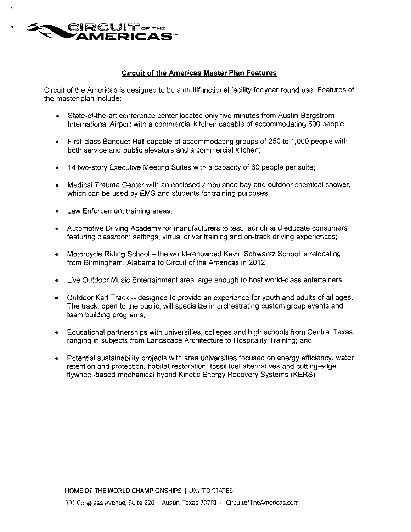

#### Circuit of the Americas Master Plan Features

Circuit of the Americas is designed to be a multifunctional facility for year-round use. Features of the master plan include:

- State-of-the-art conference center located only five minutes from Austin-Bergstrom International Airport with a commercial kitchen capable of accommodating 500 people;
- First-class Banquet Hall capable of accommodating groups of 250 to 1,000 people with both service and public elevators and a commercial kitchen;
- 14 two-story Executive Meeting Suites with a capacity of 60 people per suite;
- Medical Trauma Center with an enclosed ambulance bay and outdoor chemical shower, which can be used by EMS and students for training purposes;
- Law Enforcement training areas;
- Automotive Driving Academy for manufacturers to test, launch and educate consumers featuring classroom settings, virtual driver training and on-track driving experiences;
- Motorcycle Riding School the world-renowned Kevin Schwantz School is relocating from Birmingham, Alabama to Circuit of the Americas in 2012;
- Live Outdoor Music Entertainment area large enough to host world-class entertainers;
- Outdoor Kart Track -- designed to provide an experience for youth and adults of all ages. The track, open to the public, will specialize in orchestrating custom group events and team building programs;
- Educational partnerships with universities, colleges and high schools from Central Texas ranging in subjects from Landscape Architecture to Hospitality Training; and
- Potential sustainability projects with area universities focused on energy efficiency, water retention and protection, habitat restoration, fossil fuel alternatives and cutting-edge flywheel-based mechanical hybrid Kinetic Energy Recovery Systems (KERS).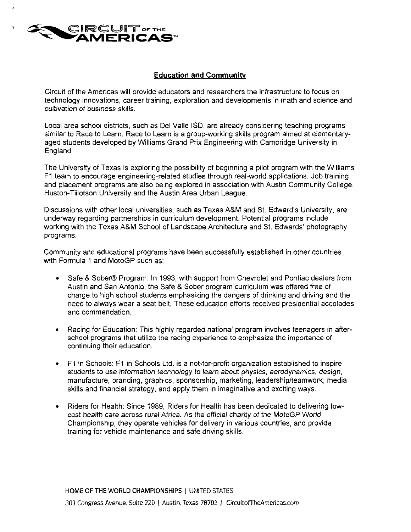

## Education and Community

Circuit of the Americas will provide educators and researchers the infrastructure to focus on technology innovations, career training, exploration and developments in math and science and cultivation of business skills.

Local area school districts, such as Del Valle ISO, are already considering teaching programs similar to Race to Learn. Race to Learn is a group-working skills program aimed at elementaryaged students developed by Williams Grand Prix Engineering with Cambridge University in England.

The University of Texas is exploring the possibility of beginning a pilot program with the Williams F1 team to encourage engineering-related studies through real-world applications. Job training and placement programs are also being explored in association with Austin Community College, Huston-Tillotson University and the Austin Area Urban League.

Discussions with other local universities, such as Texas A&M and St. Edward's University, are underway regarding partnerships in curriculum development. Potential programs include working with the Texas A&M School of Landscape Architecture and St. Edwards' photography programs.

Community and educational programs have been successfully established in other countries with Formula 1 and MotoGP such as:

- Safe & Sober® Program: In 1993, with support from Chevrolet and Pontiac dealers from Austin and San Antonio, the Safe & Sober program curriculum was offered free of charge to high school students emphasizing the dangers of drinking and driving and the need to always wear a seat belt. These education efforts received presidential accolades and commendation.
- Racing for Education: This highly regarded national program involves teenagers in afterschool programs that utilize the racing experience to emphasize the importance of continuing their education.
- F1 in Schools: F1 in Schools Ltd. is a not-for-profit organization established to inspire students to use information technology to learn about physics, aerodynamics, design, manufacture, branding, graphics, sponsorship, marketing, leadership/teamwork, media skills and financial strategy, and apply them in imaginative and exciting ways.
- Riders for Health: Since 1989, Riders for Health has been dedicated to delivering lowcost health care across rural Africa. As the official charity of the MotoGP World Championship, they operate vehicles for delivery in various countries, and provide training for vehicle maintenance and safe driving skills.